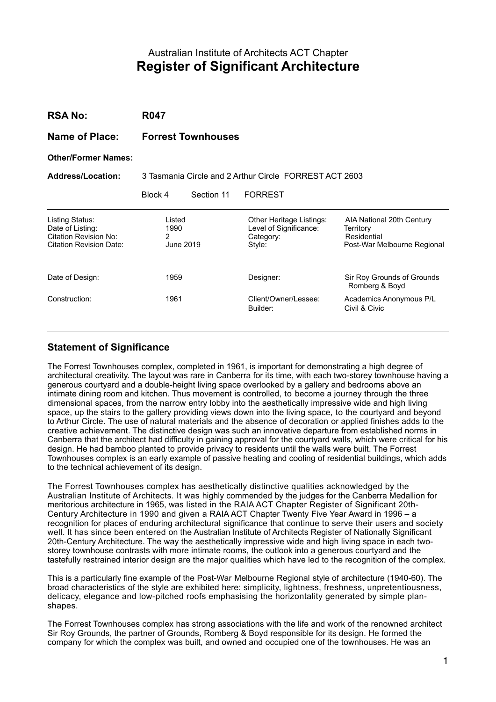# Australian Institute of Architects ACT Chapter **Register of Significant Architecture**

| <b>RSA No:</b>                                                                                        | <b>R047</b>                                            |            |                                                                           |                                                                                      |
|-------------------------------------------------------------------------------------------------------|--------------------------------------------------------|------------|---------------------------------------------------------------------------|--------------------------------------------------------------------------------------|
| Name of Place:                                                                                        | <b>Forrest Townhouses</b>                              |            |                                                                           |                                                                                      |
| <b>Other/Former Names:</b>                                                                            |                                                        |            |                                                                           |                                                                                      |
| <b>Address/Location:</b>                                                                              | 3 Tasmania Circle and 2 Arthur Circle FORREST ACT 2603 |            |                                                                           |                                                                                      |
|                                                                                                       | Block 4                                                | Section 11 | <b>FORREST</b>                                                            |                                                                                      |
| Listing Status:<br>Date of Listing:<br><b>Citation Revision No:</b><br><b>Citation Revision Date:</b> | Listed<br>1990<br>2<br>June 2019                       |            | Other Heritage Listings:<br>Level of Significance:<br>Category:<br>Style: | AIA National 20th Century<br>Territory<br>Residential<br>Post-War Melbourne Regional |
| Date of Design:                                                                                       | 1959                                                   |            | Designer:                                                                 | Sir Roy Grounds of Grounds<br>Romberg & Boyd                                         |
| Construction:                                                                                         | 1961                                                   |            | Client/Owner/Lessee:<br>Builder:                                          | Academics Anonymous P/L<br>Civil & Civic                                             |

## **Statement of Significance**

The Forrest Townhouses complex, completed in 1961, is important for demonstrating a high degree of architectural creativity. The layout was rare in Canberra for its time, with each two-storey townhouse having a generous courtyard and a double-height living space overlooked by a gallery and bedrooms above an intimate dining room and kitchen. Thus movement is controlled, to become a journey through the three dimensional spaces, from the narrow entry lobby into the aesthetically impressive wide and high living space, up the stairs to the gallery providing views down into the living space, to the courtyard and beyond to Arthur Circle. The use of natural materials and the absence of decoration or applied finishes adds to the creative achievement. The distinctive design was such an innovative departure from established norms in Canberra that the architect had difficulty in gaining approval for the courtyard walls, which were critical for his design. He had bamboo planted to provide privacy to residents until the walls were built. The Forrest Townhouses complex is an early example of passive heating and cooling of residential buildings, which adds to the technical achievement of its design.

The Forrest Townhouses complex has aesthetically distinctive qualities acknowledged by the Australian Institute of Architects. It was highly commended by the judges for the Canberra Medallion for meritorious architecture in 1965, was listed in the RAIA ACT Chapter Register of Significant 20th-Century Architecture in 1990 and given a RAIA ACT Chapter Twenty Five Year Award in 1996 – a recognition for places of enduring architectural significance that continue to serve their users and society well. It has since been entered on the Australian Institute of Architects Register of Nationally Significant 20th-Century Architecture. The way the aesthetically impressive wide and high living space in each twostorey townhouse contrasts with more intimate rooms, the outlook into a generous courtyard and the tastefully restrained interior design are the major qualities which have led to the recognition of the complex.

This is a particularly fine example of the Post-War Melbourne Regional style of architecture (1940-60). The broad characteristics of the style are exhibited here: simplicity, lightness, freshness, unpretentiousness, delicacy, elegance and low-pitched roofs emphasising the horizontality generated by simple planshapes.

The Forrest Townhouses complex has strong associations with the life and work of the renowned architect Sir Roy Grounds, the partner of Grounds, Romberg & Boyd responsible for its design. He formed the company for which the complex was built, and owned and occupied one of the townhouses. He was an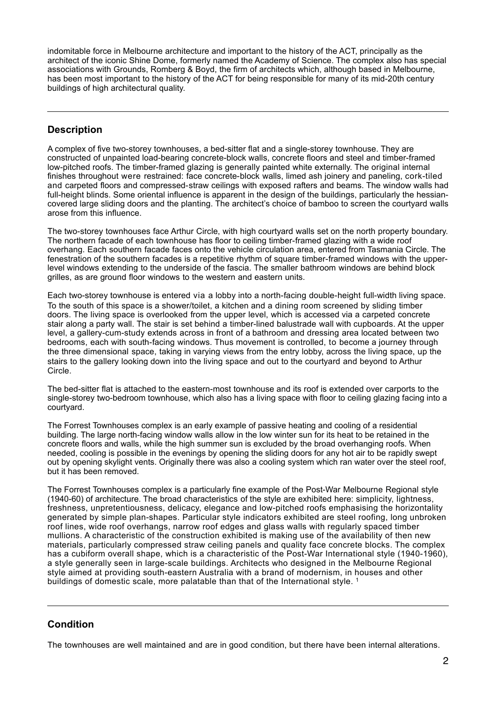indomitable force in Melbourne architecture and important to the history of the ACT, principally as the architect of the iconic Shine Dome, formerly named the Academy of Science. The complex also has special associations with Grounds, Romberg & Boyd, the firm of architects which, although based in Melbourne, has been most important to the history of the ACT for being responsible for many of its mid-20th century buildings of high architectural quality.

## **Description**

 $\overline{a}$ 

A complex of five two-storey townhouses, a bed-sitter flat and a single-storey townhouse. They are constructed of unpainted load-bearing concrete-block walls, concrete floors and steel and timber-framed low-pitched roofs. The timber-framed glazing is generally painted white externally. The original internal finishes throughout were restrained: face concrete-block walls, limed ash joinery and paneling, cork-tiled and carpeted floors and compressed-straw ceilings with exposed rafters and beams. The window walls had full-height blinds. Some oriental influence is apparent in the design of the buildings, particularly the hessiancovered large sliding doors and the planting. The architect's choice of bamboo to screen the courtyard walls arose from this influence.

The two-storey townhouses face Arthur Circle, with high courtyard walls set on the north property boundary. The northern facade of each townhouse has floor to ceiling timber-framed glazing with a wide roof overhang. Each southern facade faces onto the vehicle circulation area, entered from Tasmania Circle. The fenestration of the southern facades is a repetitive rhythm of square timber-framed windows with the upperlevel windows extending to the underside of the fascia. The smaller bathroom windows are behind block grilles, as are ground floor windows to the western and eastern units.

Each two-storey townhouse is entered via a lobby into a north-facing double-height full-width living space. To the south of this space is a shower/toilet, a kitchen and a dining room screened by sliding timber doors. The living space is overlooked from the upper level, which is accessed via a carpeted concrete stair along a party wall. The stair is set behind a timber-lined balustrade wall with cupboards. At the upper level, a gallery-cum-study extends across in front of a bathroom and dressing area located between two bedrooms, each with south-facing windows. Thus movement is controlled, to become a journey through the three dimensional space, taking in varying views from the entry lobby, across the living space, up the stairs to the gallery looking down into the living space and out to the courtyard and beyond to Arthur Circle.

The bed-sitter flat is attached to the eastern-most townhouse and its roof is extended over carports to the single-storey two-bedroom townhouse, which also has a living space with floor to ceiling glazing facing into a courtyard.

The Forrest Townhouses complex is an early example of passive heating and cooling of a residential building. The large north-facing window walls allow in the low winter sun for its heat to be retained in the concrete floors and walls, while the high summer sun is excluded by the broad overhanging roofs. When needed, cooling is possible in the evenings by opening the sliding doors for any hot air to be rapidly swept out by opening skylight vents. Originally there was also a cooling system which ran water over the steel roof, but it has been removed.

The Forrest Townhouses complex is a particularly fine example of the Post-War Melbourne Regional style (1940-60) of architecture. The broad characteristics of the style are exhibited here: simplicity, lightness, freshness, unpretentiousness, delicacy, elegance and low-pitched roofs emphasising the horizontality generated by simple plan-shapes. Particular style indicators exhibited are steel roofing, long unbroken roof lines, wide roof overhangs, narrow roof edges and glass walls with regularly spaced timber mullions. A characteristic of the construction exhibited is making use of the availability of then new materials, particularly compressed straw ceiling panels and quality face concrete blocks. The complex has a cubiform overall shape, which is a characteristic of the Post-War International style (1940-1960), a style generally seen in large-scale buildings. Architects who designed in the Melbourne Regional style aimed at providing south-eastern Australia with a brand of modernism, in houses and other buildings of domestic scale, more palatable than that of the International style.<sup>[1](#page-5-0)</sup>

## **Condition**

<span id="page-1-0"></span> $\overline{a}$ 

The townhouses are well maintained and are in good condition, but there have been internal alterations.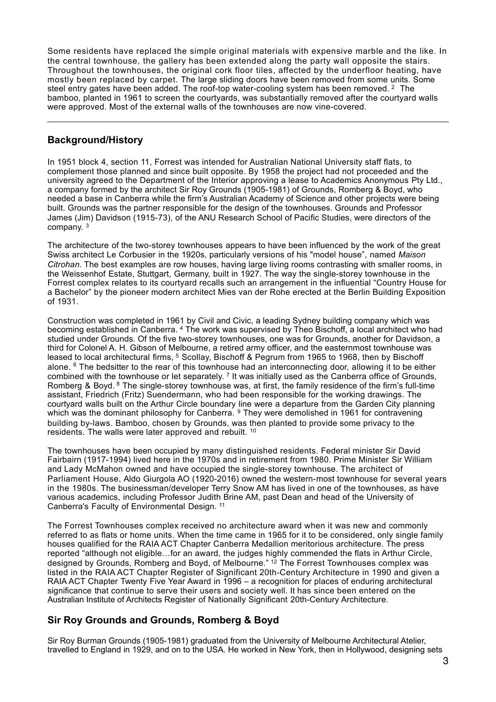Some residents have replaced the simple original materials with expensive marble and the like. In the central townhouse, the gallery has been extended along the party wall opposite the stairs. Throughout the townhouses, the original cork floor tiles, affected by the underfloor heating, have mostly been replaced by carpet. The large sliding doors have been removed from some units. Some steelentry gates have been added. The roof-top water-cooling system has been removed.  $2$  The bamboo, planted in 1961 to screen the courtyards, was substantially removed after the courtyard walls were approved. Most of the external walls of the townhouses are now vine-covered.

### **Background/History**

<span id="page-2-0"></span> $\overline{a}$ 

In 1951 block 4, section 11, Forrest was intended for Australian National University staff flats, to complement those planned and since built opposite. By 1958 the project had not proceeded and the university agreed to the Department of the Interior approving a lease to Academics Anonymous Pty Ltd., a company formed by the architect Sir Roy Grounds (1905-1981) of Grounds, Romberg & Boyd, who needed a base in Canberra while the firm's Australian Academy of Science and other projects were being built. Grounds was the partner responsible for the design of the townhouses. Grounds and Professor James (Jim) Davidson (1915-73), of the ANU Research School of Pacific Studies, were directors of the company. [3](#page-5-2)

<span id="page-2-1"></span>The architecture of the two-storey townhouses appears to have been influenced by the work of the great Swiss architect Le Corbusier in the 1920s, particularly versions of his "model house", named *Maison Citrohan*. The best examples are row houses, having large living rooms contrasting with smaller rooms, in the Weissenhof Estate, Stuttgart, Germany, built in 1927. The way the single-storey townhouse in the Forrest complex relates to its courtyard recalls such an arrangement in the influential "Country House for a Bachelor" by the pioneer modern architect Mies van der Rohe erected at the Berlin Building Exposition of 1931.

<span id="page-2-5"></span><span id="page-2-4"></span><span id="page-2-3"></span><span id="page-2-2"></span>Construction was completed in 1961 by Civil and Civic, a leading Sydney building company which was becomingestablished in Canberra. <sup>[4](#page-5-3)</sup> The work was supervised by Theo Bischoff, a local architect who had studied under Grounds. Of the five two-storey townhouses, one was for Grounds, another for Davidson, a third for Colonel A. H. Gibson of Melbourne, a retired army officer, and the easternmost townhouse was leasedto local architectural firms, <sup>[5](#page-5-4)</sup> Scollay, Bischoff & Pegrum from 1965 to 1968, then by Bischoff alone.<sup>6</sup> The bedsitter to the rear of this townhouse had an interconnecting door, allowing it to be either combined with the townhouse or let separately. <sup>7</sup> It was initially used as the Canberra office of Grounds, Romberg & Boyd. <sup>[8](#page-5-7)</sup> The single-storey townhouse was, at first, the family residence of the firm's full-time assistant, Friedrich (Fritz) Suendermann, who had been responsible for the working drawings. The courtyard walls built on the Arthur Circle boundary line were a departure from the Garden City planning which was the dominant philosophy for Canberra.  $9$  They were demolished in 1961 for contravening building by-laws. Bamboo, chosen by Grounds, was then planted to provide some privacy to the residents. The walls were later approved and rebuilt. [10](#page-5-9)

<span id="page-2-8"></span><span id="page-2-7"></span><span id="page-2-6"></span>The townhouses have been occupied by many distinguished residents. Federal minister Sir David Fairbairn (1917-1994) lived here in the 1970s and in retirement from 1980. Prime Minister Sir William and Lady McMahon owned and have occupied the single-storey townhouse. The architect of Parliament House, Aldo Giurgola AO (1920-2016) owned the western-most townhouse for several years in the 1980s. The businessman/developer Terry Snow AM has lived in one of the townhouses, as have various academics, including Professor Judith Brine AM, past Dean and head of the University of Canberra's Faculty of Environmental Design. [11](#page-5-10)

<span id="page-2-10"></span><span id="page-2-9"></span>The Forrest Townhouses complex received no architecture award when it was new and commonly referred to as flats or home units. When the time came in 1965 for it to be considered, only single family houses qualified for the RAIA ACT Chapter Canberra Medallion meritorious architecture. The press reported "although not eligible…for an award, the judges highly commended the flats in Arthur Circle, designedby Grounds, Romberg and Boyd, of Melbourne." <sup>12</sup> The Forrest Townhouses complex was listed in the RAIA ACT Chapter Register of Significant 20th-Century Architecture in 1990 and given a RAIA ACT Chapter Twenty Five Year Award in 1996 – a recognition for places of enduring architectural significance that continue to serve their users and society well. It has since been entered on the Australian Institute of Architects Register of Nationally Significant 20th-Century Architecture.

## **Sir Roy Grounds and Grounds, Romberg & Boyd**

Sir Roy Burman Grounds (1905-1981) graduated from the University of Melbourne Architectural Atelier, travelled to England in 1929, and on to the USA. He worked in New York, then in Hollywood, designing sets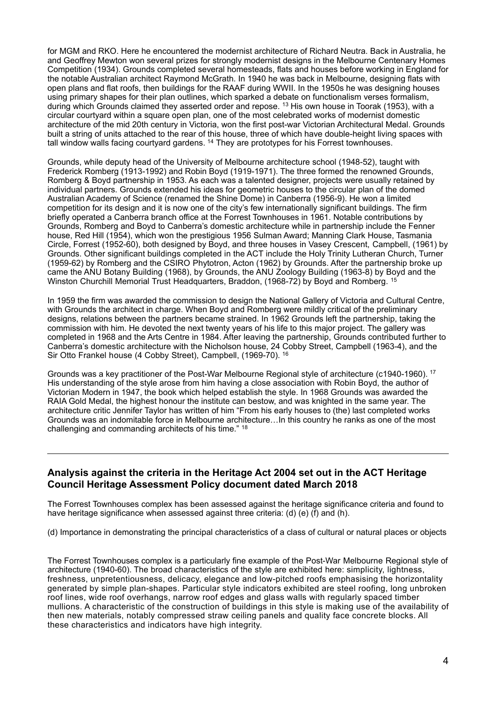for MGM and RKO. Here he encountered the modernist architecture of Richard Neutra. Back in Australia, he and Geoffrey Mewton won several prizes for strongly modernist designs in the Melbourne Centenary Homes Competition (1934). Grounds completed several homesteads, flats and houses before working in England for the notable Australian architect Raymond McGrath. In 1940 he was back in Melbourne, designing flats with open plans and flat roofs, then buildings for the RAAF during WWII. In the 1950s he was designing houses using primary shapes for their plan outlines, which sparked a debate on functionalism verses formalism, duringwhich Grounds claimed they asserted order and repose. <sup>[13](#page-5-12)</sup> His own house in Toorak (1953), with a circular courtyard within a square open plan, one of the most celebrated works of modernist domestic architecture of the mid 20th century in Victoria, won the first post-war Victorian Architectural Medal. Grounds built a string of units attached to the rear of this house, three of which have double-height living spaces with tallwindow walls facing courtyard gardens.  $14$  They are prototypes for his Forrest townhouses.

<span id="page-3-1"></span><span id="page-3-0"></span>Grounds, while deputy head of the University of Melbourne architecture school (1948-52), taught with Frederick Romberg (1913-1992) and Robin Boyd (1919-1971). The three formed the renowned Grounds, Romberg & Boyd partnership in 1953. As each was a talented designer, projects were usually retained by individual partners. Grounds extended his ideas for geometric houses to the circular plan of the domed Australian Academy of Science (renamed the Shine Dome) in Canberra (1956-9). He won a limited competition for its design and it is now one of the city's few internationally significant buildings. The firm briefly operated a Canberra branch office at the Forrest Townhouses in 1961. Notable contributions by Grounds, Romberg and Boyd to Canberra's domestic architecture while in partnership include the Fenner house, Red Hill (1954), which won the prestigious 1956 Sulman Award; Manning Clark House, Tasmania Circle, Forrest (1952-60), both designed by Boyd, and three houses in Vasey Crescent, Campbell, (1961) by Grounds. Other significant buildings completed in the ACT include the Holy Trinity Lutheran Church, Turner (1959-62) by Romberg and the CSIRO Phytotron, Acton (1962) by Grounds. After the partnership broke up came the ANU Botany Building (1968), by Grounds, the ANU Zoology Building (1963-8) by Boyd and the Winston Churchill Memorial Trust Headquarters, Braddon, (1968-72) by Boyd and Romberg. <sup>[15](#page-5-14)</sup>

<span id="page-3-2"></span>In 1959 the firm was awarded the commission to design the National Gallery of Victoria and Cultural Centre, with Grounds the architect in charge. When Boyd and Romberg were mildly critical of the preliminary designs, relations between the partners became strained. In 1962 Grounds left the partnership, taking the commission with him. He devoted the next twenty years of his life to this major project. The gallery was completed in 1968 and the Arts Centre in 1984. After leaving the partnership, Grounds contributed further to Canberra's domestic architecture with the Nicholson house, 24 Cobby Street, Campbell (1963-4), and the Sir Otto Frankel house (4 Cobby Street), Campbell, (1969-70). [16](#page-5-15)

<span id="page-3-4"></span><span id="page-3-3"></span>Grounds was a key practitioner of the Post-War Melbourne Regional style of architecture (c1940-1960). [17](#page-5-16) His understanding of the style arose from him having a close association with Robin Boyd, the author of Victorian Modern in 1947, the book which helped establish the style. In 1968 Grounds was awarded the RAIA Gold Medal, the highest honour the institute can bestow, and was knighted in the same year. The architecture critic Jennifer Taylor has written of him "From his early houses to (the) last completed works Grounds was an indomitable force in Melbourne architecture…In this country he ranks as one of the most challenging and commanding architects of his time." [18](#page-5-17)

#### **Analysis against the criteria in the Heritage Act 2004 set out in the ACT Heritage Council Heritage Assessment Policy document dated March 2018**

<span id="page-3-5"></span> $\overline{a}$ 

The Forrest Townhouses complex has been assessed against the heritage significance criteria and found to have heritage significance when assessed against three criteria: (d) (e) (f) and (h).

(d) Importance in demonstrating the principal characteristics of a class of cultural or natural places or objects

The Forrest Townhouses complex is a particularly fine example of the Post-War Melbourne Regional style of architecture (1940-60). The broad characteristics of the style are exhibited here: simplicity, lightness, freshness, unpretentiousness, delicacy, elegance and low-pitched roofs emphasising the horizontality generated by simple plan-shapes. Particular style indicators exhibited are steel roofing, long unbroken roof lines, wide roof overhangs, narrow roof edges and glass walls with regularly spaced timber mullions. A characteristic of the construction of buildings in this style is making use of the availability of then new materials, notably compressed straw ceiling panels and quality face concrete blocks. All these characteristics and indicators have high integrity.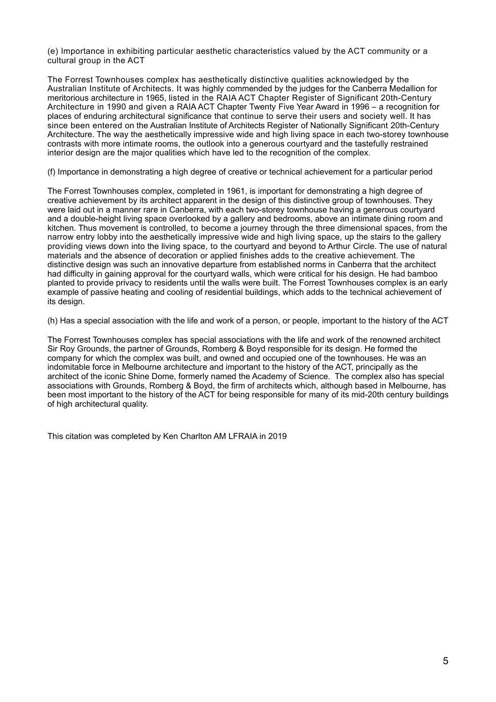(e) Importance in exhibiting particular aesthetic characteristics valued by the ACT community or a cultural group in the ACT

The Forrest Townhouses complex has aesthetically distinctive qualities acknowledged by the Australian Institute of Architects. It was highly commended by the judges for the Canberra Medallion for meritorious architecture in 1965, listed in the RAIA ACT Chapter Register of Significant 20th-Century Architecture in 1990 and given a RAIA ACT Chapter Twenty Five Year Award in 1996 – a recognition for places of enduring architectural significance that continue to serve their users and society well. It has since been entered on the Australian Institute of Architects Register of Nationally Significant 20th-Century Architecture. The way the aesthetically impressive wide and high living space in each two-storey townhouse contrasts with more intimate rooms, the outlook into a generous courtyard and the tastefully restrained interior design are the major qualities which have led to the recognition of the complex.

(f) Importance in demonstrating a high degree of creative or technical achievement for a particular period

The Forrest Townhouses complex, completed in 1961, is important for demonstrating a high degree of creative achievement by its architect apparent in the design of this distinctive group of townhouses. They were laid out in a manner rare in Canberra, with each two-storey townhouse having a generous courtyard and a double-height living space overlooked by a gallery and bedrooms, above an intimate dining room and kitchen. Thus movement is controlled, to become a journey through the three dimensional spaces, from the narrow entry lobby into the aesthetically impressive wide and high living space, up the stairs to the gallery providing views down into the living space, to the courtyard and beyond to Arthur Circle. The use of natural materials and the absence of decoration or applied finishes adds to the creative achievement. The distinctive design was such an innovative departure from established norms in Canberra that the architect had difficulty in gaining approval for the courtyard walls, which were critical for his design. He had bamboo planted to provide privacy to residents until the walls were built. The Forrest Townhouses complex is an early example of passive heating and cooling of residential buildings, which adds to the technical achievement of its design.

(h) Has a special association with the life and work of a person, or people, important to the history of the ACT

The Forrest Townhouses complex has special associations with the life and work of the renowned architect Sir Roy Grounds, the partner of Grounds, Romberg & Boyd responsible for its design. He formed the company for which the complex was built, and owned and occupied one of the townhouses. He was an indomitable force in Melbourne architecture and important to the history of the ACT, principally as the architect of the iconic Shine Dome, formerly named the Academy of Science. The complex also has special associations with Grounds, Romberg & Boyd, the firm of architects which, although based in Melbourne, has been most important to the history of the ACT for being responsible for many of its mid-20th century buildings of high architectural quality.

This citation was completed by Ken Charlton AM LFRAIA in 2019